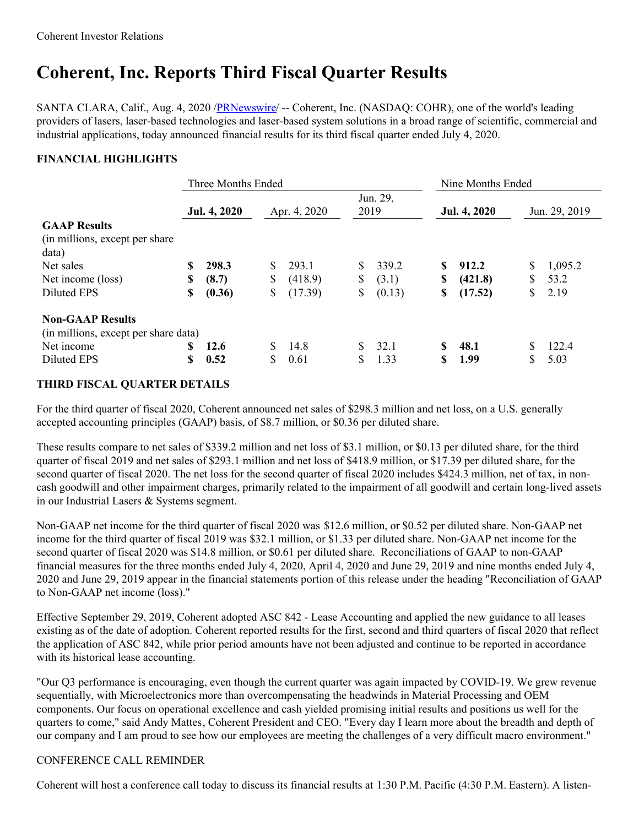# **Coherent, Inc. Reports Third Fiscal Quarter Results**

SANTA CLARA, Calif., Aug. 4, 2020 [/PRNewswire](http://www.prnewswire.com/)/ -- Coherent, Inc. (NASDAQ: COHR), one of the world's leading providers of lasers, laser-based technologies and laser-based system solutions in a broad range of scientific, commercial and industrial applications, today announced financial results for its third fiscal quarter ended July 4, 2020.

## **FINANCIAL HIGHLIGHTS**

|                                                                 | Three Months Ended |              |    |              |      | Nine Months Ended |    |              |    |               |
|-----------------------------------------------------------------|--------------------|--------------|----|--------------|------|-------------------|----|--------------|----|---------------|
|                                                                 |                    | Jul. 4, 2020 |    | Apr. 4, 2020 | 2019 | Jun. 29,          |    | Jul. 4, 2020 |    | Jun. 29, 2019 |
| <b>GAAP Results</b><br>(in millions, except per share)<br>data) |                    |              |    |              |      |                   |    |              |    |               |
| Net sales                                                       |                    | 298.3        |    | 293.1        | S.   | 339.2             | S  | 912.2        | \$ | 1,095.2       |
| Net income (loss)                                               | \$                 | (8.7)        | \$ | (418.9)      | \$   | (3.1)             | \$ | (421.8)      | S  | 53.2          |
| Diluted EPS                                                     | \$                 | (0.36)       | \$ | (17.39)      | \$   | (0.13)            | \$ | (17.52)      | \$ | 2.19          |
| <b>Non-GAAP Results</b><br>(in millions, except per share data) |                    |              |    |              |      |                   |    |              |    |               |
| Net income                                                      |                    | 12.6         |    | 14.8         | S.   | 32.1              | \$ | 48.1         | S  | 122.4         |
| Diluted EPS                                                     | \$                 | 0.52         | S  | 0.61         | S    | 1.33              | S  | 1.99         | S  | 5.03          |

## **THIRD FISCAL QUARTER DETAILS**

For the third quarter of fiscal 2020, Coherent announced net sales of \$298.3 million and net loss, on a U.S. generally accepted accounting principles (GAAP) basis, of \$8.7 million, or \$0.36 per diluted share.

These results compare to net sales of \$339.2 million and net loss of \$3.1 million, or \$0.13 per diluted share, for the third quarter of fiscal 2019 and net sales of \$293.1 million and net loss of \$418.9 million, or \$17.39 per diluted share, for the second quarter of fiscal 2020. The net loss for the second quarter of fiscal 2020 includes \$424.3 million, net of tax, in noncash goodwill and other impairment charges, primarily related to the impairment of all goodwill and certain long-lived assets in our Industrial Lasers & Systems segment.

Non-GAAP net income for the third quarter of fiscal 2020 was \$12.6 million, or \$0.52 per diluted share. Non-GAAP net income for the third quarter of fiscal 2019 was \$32.1 million, or \$1.33 per diluted share. Non-GAAP net income for the second quarter of fiscal 2020 was \$14.8 million, or \$0.61 per diluted share. Reconciliations of GAAP to non-GAAP financial measures for the three months ended July 4, 2020, April 4, 2020 and June 29, 2019 and nine months ended July 4, 2020 and June 29, 2019 appear in the financial statements portion of this release under the heading "Reconciliation of GAAP to Non-GAAP net income (loss)."

Effective September 29, 2019, Coherent adopted ASC 842 - Lease Accounting and applied the new guidance to all leases existing as of the date of adoption. Coherent reported results for the first, second and third quarters of fiscal 2020 that reflect the application of ASC 842, while prior period amounts have not been adjusted and continue to be reported in accordance with its historical lease accounting.

"Our Q3 performance is encouraging, even though the current quarter was again impacted by COVID-19. We grew revenue sequentially, with Microelectronics more than overcompensating the headwinds in Material Processing and OEM components. Our focus on operational excellence and cash yielded promising initial results and positions us well for the quarters to come," said Andy Mattes, Coherent President and CEO. "Every day I learn more about the breadth and depth of our company and I am proud to see how our employees are meeting the challenges of a very difficult macro environment."

### CONFERENCE CALL REMINDER

Coherent will host a conference call today to discuss its financial results at 1:30 P.M. Pacific (4:30 P.M. Eastern). A listen-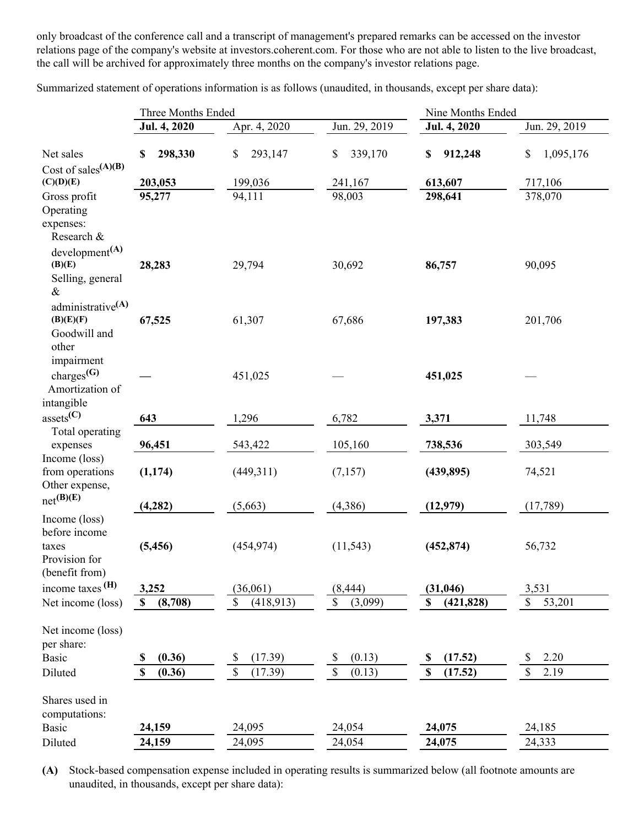only broadcast of the conference call and a transcript of management's prepared remarks can be accessed on the investor relations page of the company's website at investors.coherent.com. For those who are not able to listen to the live broadcast, the call will be archived for approximately three months on the company's investor relations page.

Summarized statement of operations information is as follows (unaudited, in thousands, except per share data):

|                                                                            | Three Months Ended |                 | Nine Months Ended |                                      |                 |
|----------------------------------------------------------------------------|--------------------|-----------------|-------------------|--------------------------------------|-----------------|
|                                                                            | Jul. 4, 2020       | Apr. 4, 2020    | Jun. 29, 2019     | Jul. 4, 2020                         | Jun. 29, 2019   |
| Net sales                                                                  | 298,330<br>\$      | 293,147<br>\$   | 339,170<br>\$     | 912,248<br>\$                        | \$<br>1,095,176 |
| Cost of sales $(A)(B)$<br>(C)(D)(E)                                        | 203,053            | 199,036         | 241,167           | 613,607                              | 717,106         |
| Gross profit<br>Operating<br>expenses:                                     | 95,277             | 94,111          | 98,003            | 298,641                              | 378,070         |
| Research &<br>development <sup>(A)</sup><br>(B)(E)                         | 28,283             | 29,794          | 30,692            | 86,757                               | 90,095          |
| Selling, general<br>$\&$<br>administrative <sup>(A)</sup>                  |                    |                 |                   |                                      |                 |
| (B)(E)(F)<br>Goodwill and<br>other                                         | 67,525             | 61,307          | 67,686            | 197,383                              | 201,706         |
| impairment<br>charges $(G)$<br>Amortization of<br>intangible               |                    | 451,025         |                   | 451,025                              |                 |
| $asserts^{\text{(C)}}$                                                     | 643                | 1,296           | 6,782             | 3,371                                | 11,748          |
| Total operating<br>expenses                                                | 96,451             | 543,422         | 105,160           | 738,536                              | 303,549         |
| Income (loss)<br>from operations<br>Other expense,                         | (1, 174)           | (449,311)       | (7,157)           | (439, 895)                           | 74,521          |
| $net^{(B)(E)}$                                                             | (4, 282)           | (5,663)         | (4, 386)          | (12, 979)                            | (17,789)        |
| Income (loss)<br>before income<br>taxes<br>Provision for<br>(benefit from) | (5, 456)           | (454, 974)      | (11, 543)         | (452, 874)                           | 56,732          |
| income taxes $(H)$                                                         | 3,252              | (36,061)        | (8, 444)          | (31, 046)                            | 3,531           |
| Net income (loss)                                                          | (8,708)<br>S       | (418,913)<br>\$ | \$<br>(3,099)     | (421, 828)<br>\$                     | 53,201<br>\$    |
| Net income (loss)<br>per share:                                            |                    |                 |                   |                                      |                 |
| <b>Basic</b>                                                               | (0.36)<br>S        | (17.39)<br>\$   | (0.13)<br>\$      | (17.52)<br>\$                        | 2.20<br>\$      |
| Diluted                                                                    | (0.36)<br>\$       | $\$$<br>(17.39) | \$<br>(0.13)      | (17.52)<br>$\boldsymbol{\mathsf{S}}$ | \$<br>2.19      |
| Shares used in<br>computations:                                            |                    |                 |                   |                                      |                 |
| <b>Basic</b>                                                               | 24,159             | 24,095          | 24,054            | 24,075                               | 24,185          |
| Diluted                                                                    | 24,159             | 24,095          | 24,054            | 24,075                               | 24,333          |

**(A)** Stock-based compensation expense included in operating results is summarized below (all footnote amounts are unaudited, in thousands, except per share data):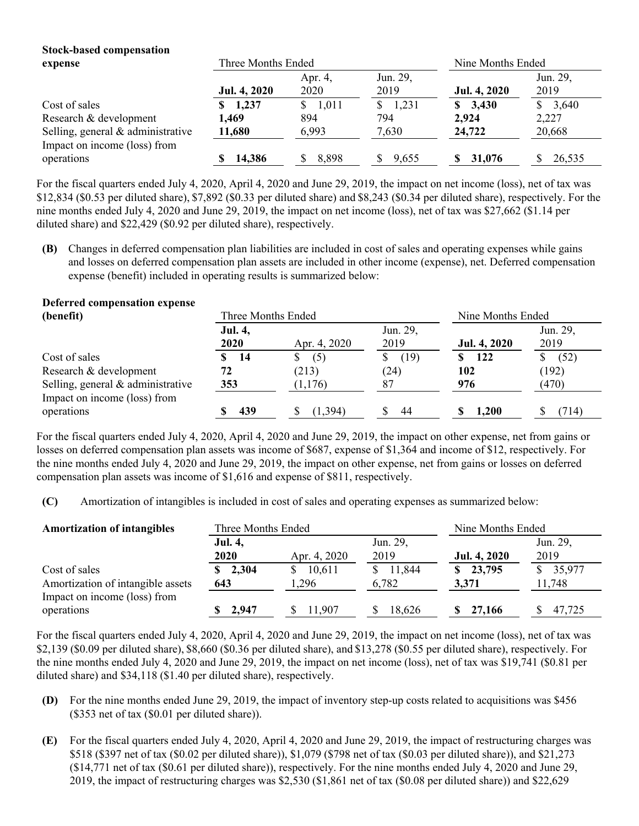# **Stock-based compensation**

| expense                           | Three Months Ended |         |          | Nine Months Ended |             |
|-----------------------------------|--------------------|---------|----------|-------------------|-------------|
|                                   |                    | Apr. 4, | Jun. 29, |                   | Jun. 29,    |
|                                   | Jul. 4, 2020       | 2020    | 2019     | Jul. 4, 2020      | 2019        |
| Cost of sales                     | \$1,237            | \$1,011 | \$1,231  | \$3,430           | 3,640<br>S. |
| Research & development            | 1.469              | 894     | 794      | 2,924             | 2,227       |
| Selling, general & administrative | 11,680             | 6,993   | 7,630    | 24,722            | 20,668      |
| Impact on income (loss) from      |                    |         |          |                   |             |
| operations                        | 14,386             | 8,898   | 9,655    | 31,076            | 26.535      |

For the fiscal quarters ended July 4, 2020, April 4, 2020 and June 29, 2019, the impact on net income (loss), net of tax was \$12,834 (\$0.53 per diluted share), \$7,892 (\$0.33 per diluted share) and \$8,243 (\$0.34 per diluted share), respectively. For the nine months ended July 4, 2020 and June 29, 2019, the impact on net income (loss), net of tax was \$27,662 (\$1.14 per diluted share) and \$22,429 (\$0.92 per diluted share), respectively.

**(B)** Changes in deferred compensation plan liabilities are included in cost of sales and operating expenses while gains and losses on deferred compensation plan assets are included in other income (expense), net. Deferred compensation expense (benefit) included in operating results is summarized below:

### **Deferred compensation expense**

| (benefit)                           | Three Months Ended |              | Nine Months Ended |              |          |
|-------------------------------------|--------------------|--------------|-------------------|--------------|----------|
|                                     | Jul. 4,            |              | Jun. 29,          |              | Jun. 29, |
|                                     | 2020               | Apr. 4, 2020 | 2019              | Jul. 4, 2020 | 2019     |
| Cost of sales                       | 14                 | \$<br>(5)    | (19)<br>S         | 122          | (52)     |
| Research & development              | 72                 | (213)        | (24)              | 102          | (192)    |
| Selling, general $&$ administrative | 353                | (1,176)      | 87                | 976          | (470)    |
| Impact on income (loss) from        |                    |              |                   |              |          |
| operations                          | 439                | (1.394)      | 44                | 1.200        | (714)    |

For the fiscal quarters ended July 4, 2020, April 4, 2020 and June 29, 2019, the impact on other expense, net from gains or losses on deferred compensation plan assets was income of \$687, expense of \$1,364 and income of \$12, respectively. For the nine months ended July 4, 2020 and June 29, 2019, the impact on other expense, net from gains or losses on deferred compensation plan assets was income of \$1,616 and expense of \$811, respectively.

**(C)** Amortization of intangibles is included in cost of sales and operating expenses as summarized below:

| <b>Amortization of intangibles</b>         | Three Months Ended |              | Nine Months Ended |               |          |
|--------------------------------------------|--------------------|--------------|-------------------|---------------|----------|
|                                            | <b>Jul. 4,</b>     |              | Jun. 29,          |               | Jun. 29, |
|                                            | <b>2020</b>        | Apr. 4, 2020 | 2019              | Jul. 4, 2020  | 2019     |
| Cost of sales                              | \$2,304            | 10,611       | 11,844            | 23,795<br>SS. | 35,977   |
| Amortization of intangible assets          | 643                | 1,296        | 6,782             | 3,371         | 11,748   |
| Impact on income (loss) from<br>operations | 2.947              | 11.907       | 18,626            | 27,166        | 47,725   |

For the fiscal quarters ended July 4, 2020, April 4, 2020 and June 29, 2019, the impact on net income (loss), net of tax was \$2,139 (\$0.09 per diluted share), \$8,660 (\$0.36 per diluted share), and \$13,278 (\$0.55 per diluted share), respectively. For the nine months ended July 4, 2020 and June 29, 2019, the impact on net income (loss), net of tax was \$19,741 (\$0.81 per diluted share) and \$34,118 (\$1.40 per diluted share), respectively.

- **(D)** For the nine months ended June 29, 2019, the impact of inventory step-up costs related to acquisitions was \$456 (\$353 net of tax (\$0.01 per diluted share)).
- **(E)** For the fiscal quarters ended July 4, 2020, April 4, 2020 and June 29, 2019, the impact of restructuring charges was \$518 (\$397 net of tax (\$0.02 per diluted share)), \$1,079 (\$798 net of tax (\$0.03 per diluted share)), and \$21,273 (\$14,771 net of tax (\$0.61 per diluted share)), respectively. For the nine months ended July 4, 2020 and June 29, 2019, the impact of restructuring charges was \$2,530 (\$1,861 net of tax (\$0.08 per diluted share)) and \$22,629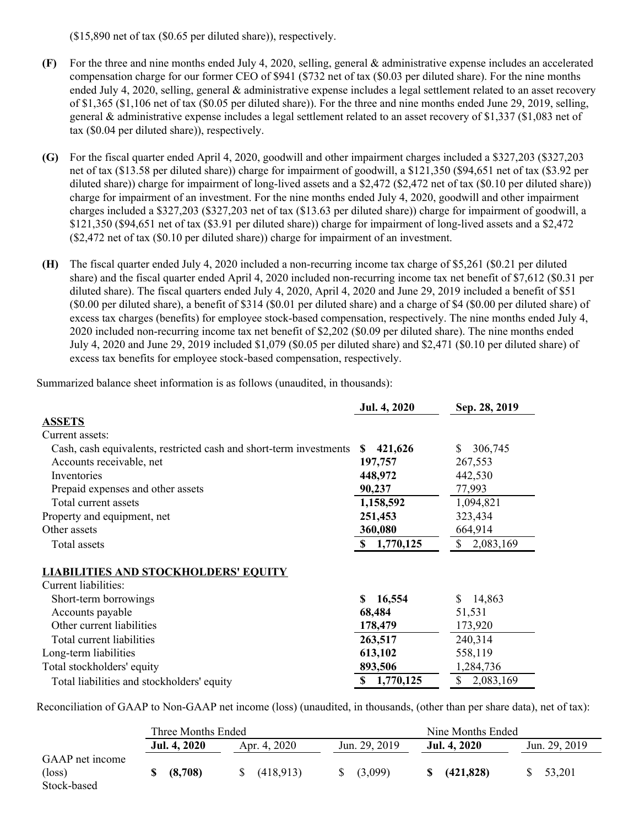(\$15,890 net of tax (\$0.65 per diluted share)), respectively.

- **(F)** For the three and nine months ended July 4, 2020, selling, general & administrative expense includes an accelerated compensation charge for our former CEO of \$941 (\$732 net of tax (\$0.03 per diluted share). For the nine months ended July 4, 2020, selling, general & administrative expense includes a legal settlement related to an asset recovery of \$1,365 (\$1,106 net of tax (\$0.05 per diluted share)). For the three and nine months ended June 29, 2019, selling, general & administrative expense includes a legal settlement related to an asset recovery of \$1,337 (\$1,083 net of tax (\$0.04 per diluted share)), respectively.
- **(G)** For the fiscal quarter ended April 4, 2020, goodwill and other impairment charges included a \$327,203 (\$327,203 net of tax (\$13.58 per diluted share)) charge for impairment of goodwill, a \$121,350 (\$94,651 net of tax (\$3.92 per diluted share)) charge for impairment of long-lived assets and a \$2,472 (\$2,472 net of tax (\$0.10 per diluted share)) charge for impairment of an investment. For the nine months ended July 4, 2020, goodwill and other impairment charges included a \$327,203 (\$327,203 net of tax (\$13.63 per diluted share)) charge for impairment of goodwill, a \$121,350 (\$94,651 net of tax (\$3.91 per diluted share)) charge for impairment of long-lived assets and a \$2,472 (\$2,472 net of tax (\$0.10 per diluted share)) charge for impairment of an investment.
- **(H)** The fiscal quarter ended July 4, 2020 included a non-recurring income tax charge of \$5,261 (\$0.21 per diluted share) and the fiscal quarter ended April 4, 2020 included non-recurring income tax net benefit of \$7,612 (\$0.31 per diluted share). The fiscal quarters ended July 4, 2020, April 4, 2020 and June 29, 2019 included a benefit of \$51 (\$0.00 per diluted share), a benefit of \$314 (\$0.01 per diluted share) and a charge of \$4 (\$0.00 per diluted share) of excess tax charges (benefits) for employee stock-based compensation, respectively. The nine months ended July 4, 2020 included non-recurring income tax net benefit of \$2,202 (\$0.09 per diluted share). The nine months ended July 4, 2020 and June 29, 2019 included \$1,079 (\$0.05 per diluted share) and \$2,471 (\$0.10 per diluted share) of excess tax benefits for employee stock-based compensation, respectively.

Summarized balance sheet information is as follows (unaudited, in thousands):

|                                                                    | Jul. 4, 2020          | Sep. 28, 2019   |
|--------------------------------------------------------------------|-----------------------|-----------------|
| <b>ASSETS</b>                                                      |                       |                 |
| Current assets:                                                    |                       |                 |
| Cash, cash equivalents, restricted cash and short-term investments | 421,626<br>SS.        | 306,745<br>S    |
| Accounts receivable, net                                           | 197,757               | 267,553         |
| Inventories                                                        | 448,972               | 442,530         |
| Prepaid expenses and other assets                                  | 90,237                | 77,993          |
| Total current assets                                               | 1,158,592             | 1,094,821       |
| Property and equipment, net                                        | 251,453               | 323,434         |
| Other assets                                                       | 360,080               | 664,914         |
| Total assets                                                       | 1,770,125<br><b>S</b> | S<br>2,083,169  |
| <b>LIABILITIES AND STOCKHOLDERS' EQUITY</b>                        |                       |                 |
| Current liabilities:                                               |                       |                 |
| Short-term borrowings                                              | 16,554<br>S           | 14,863<br>S     |
| Accounts payable                                                   | 68,484                | 51,531          |
| Other current liabilities                                          | 178,479               | 173,920         |
| Total current liabilities                                          | 263,517               | 240,314         |
| Long-term liabilities                                              | 613,102               | 558,119         |
| Total stockholders' equity                                         | 893,506               | 1,284,736       |
| Total liabilities and stockholders' equity                         | 1,770,125<br>\$       | \$<br>2,083,169 |

Reconciliation of GAAP to Non-GAAP net income (loss) (unaudited, in thousands, (other than per share data), net of tax):

|                                                   | Three Months Ended |              | Nine Months Ended |                   |               |
|---------------------------------------------------|--------------------|--------------|-------------------|-------------------|---------------|
|                                                   | Jul. 4, 2020       | Apr. 4, 2020 | Jun. 29, 2019     | Jul. 4, 2020      | Jun. 29, 2019 |
| GAAP net income<br>$(\text{loss})$<br>Stock-based | (8,708)            | (418,913)    | (3,099)<br>S.     | (421, 828)<br>SS. | 53.201        |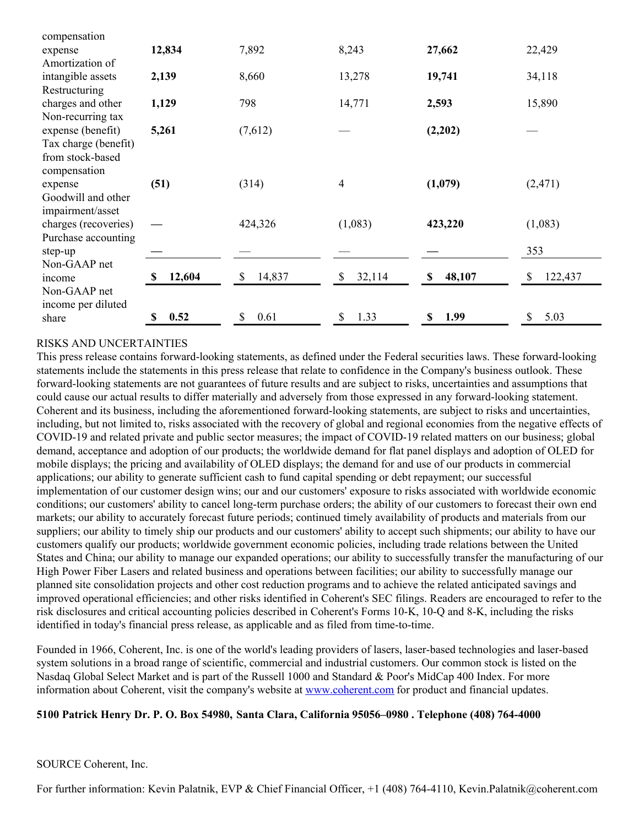| compensation         |              |              |              |             |               |
|----------------------|--------------|--------------|--------------|-------------|---------------|
| expense              | 12,834       | 7,892        | 8,243        | 27,662      | 22,429        |
| Amortization of      |              |              |              |             |               |
| intangible assets    | 2,139        | 8,660        | 13,278       | 19,741      | 34,118        |
| Restructuring        |              |              |              |             |               |
| charges and other    | 1,129        | 798          | 14,771       | 2,593       | 15,890        |
| Non-recurring tax    |              |              |              |             |               |
| expense (benefit)    | 5,261        | (7,612)      |              | (2,202)     |               |
| Tax charge (benefit) |              |              |              |             |               |
| from stock-based     |              |              |              |             |               |
| compensation         |              |              |              |             |               |
| expense              | (51)         | (314)        | 4            | (1,079)     | (2, 471)      |
| Goodwill and other   |              |              |              |             |               |
| impairment/asset     |              |              |              |             |               |
| charges (recoveries) |              | 424,326      | (1,083)      | 423,220     | (1,083)       |
| Purchase accounting  |              |              |              |             |               |
| step-up              |              |              |              |             | 353           |
| Non-GAAP net         |              |              |              |             |               |
| income               | 12,604<br>\$ | 14,837<br>\$ | 32,114<br>\$ | 48,107<br>S | 122,437<br>\$ |
| Non-GAAP net         |              |              |              |             |               |
| income per diluted   |              |              |              |             |               |
| share                | 0.52<br>S    | 0.61<br>\$   | 1.33<br>\$   | 1.99<br>\$  | 5.03<br>\$    |

### RISKS AND UNCERTAINTIES

This press release contains forward-looking statements, as defined under the Federal securities laws. These forward-looking statements include the statements in this press release that relate to confidence in the Company's business outlook. These forward-looking statements are not guarantees of future results and are subject to risks, uncertainties and assumptions that could cause our actual results to differ materially and adversely from those expressed in any forward-looking statement. Coherent and its business, including the aforementioned forward-looking statements, are subject to risks and uncertainties, including, but not limited to, risks associated with the recovery of global and regional economies from the negative effects of COVID-19 and related private and public sector measures; the impact of COVID-19 related matters on our business; global demand, acceptance and adoption of our products; the worldwide demand for flat panel displays and adoption of OLED for mobile displays; the pricing and availability of OLED displays; the demand for and use of our products in commercial applications; our ability to generate sufficient cash to fund capital spending or debt repayment; our successful implementation of our customer design wins; our and our customers' exposure to risks associated with worldwide economic conditions; our customers' ability to cancel long-term purchase orders; the ability of our customers to forecast their own end markets; our ability to accurately forecast future periods; continued timely availability of products and materials from our suppliers; our ability to timely ship our products and our customers' ability to accept such shipments; our ability to have our customers qualify our products; worldwide government economic policies, including trade relations between the United States and China; our ability to manage our expanded operations; our ability to successfully transfer the manufacturing of our High Power Fiber Lasers and related business and operations between facilities; our ability to successfully manage our planned site consolidation projects and other cost reduction programs and to achieve the related anticipated savings and improved operational efficiencies; and other risks identified in Coherent's SEC filings. Readers are encouraged to refer to the risk disclosures and critical accounting policies described in Coherent's Forms 10-K, 10-Q and 8-K, including the risks identified in today's financial press release, as applicable and as filed from time-to-time.

Founded in 1966, Coherent, Inc. is one of the world's leading providers of lasers, laser-based technologies and laser-based system solutions in a broad range of scientific, commercial and industrial customers. Our common stock is listed on the Nasdaq Global Select Market and is part of the Russell 1000 and Standard & Poor's MidCap 400 Index. For more information about Coherent, visit the company's website at [www.coherent.com](https://c212.net/c/link/?t=0&l=en&o=2876376-1&h=964129985&u=http%3A%2F%2Fwww.coherent.com%2F&a=www.coherent.com) for product and financial updates.

### **5100 Patrick Henry Dr. P. O. Box 54980, Santa Clara, California 95056–0980 . Telephone (408) 764-4000**

#### SOURCE Coherent, Inc.

For further information: Kevin Palatnik, EVP & Chief Financial Officer, +1 (408) 764-4110, Kevin.Palatnik@coherent.com